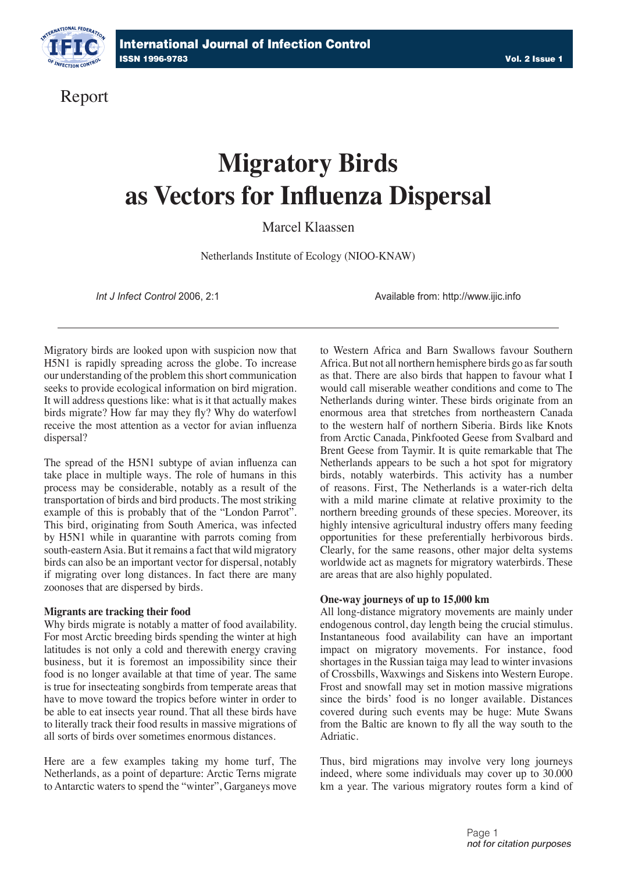

Report

# **Migratory Birds as Vectors for Influenza Dispersal**

Marcel Klaassen

Netherlands Institute of Ecology (NIOO-KNAW)

*Int J Infect Control* 2006, 2:1 **Available from: http://www.ijic.info** 

Migratory birds are looked upon with suspicion now that H5N1 is rapidly spreading across the globe. To increase our understanding of the problem this short communication seeks to provide ecological information on bird migration. It will address questions like: what is it that actually makes birds migrate? How far may they fly? Why do waterfowl receive the most attention as a vector for avian influenza dispersal?

The spread of the H5N1 subtype of avian influenza can take place in multiple ways. The role of humans in this process may be considerable, notably as a result of the transportation of birds and bird products. The most striking example of this is probably that of the "London Parrot". This bird, originating from South America, was infected by H5N1 while in quarantine with parrots coming from south-eastern Asia. But it remains a fact that wild migratory birds can also be an important vector for dispersal, notably if migrating over long distances. In fact there are many zoonoses that are dispersed by birds.

#### **Migrants are tracking their food**

Why birds migrate is notably a matter of food availability. For most Arctic breeding birds spending the winter at high latitudes is not only a cold and therewith energy craving business, but it is foremost an impossibility since their food is no longer available at that time of year. The same is true for insecteating songbirds from temperate areas that have to move toward the tropics before winter in order to be able to eat insects year round. That all these birds have to literally track their food results in massive migrations of all sorts of birds over sometimes enormous distances.

Here are a few examples taking my home turf, The Netherlands, as a point of departure: Arctic Terns migrate to Antarctic waters to spend the "winter", Garganeys move to Western Africa and Barn Swallows favour Southern Africa. But not all northern hemisphere birds go as far south as that. There are also birds that happen to favour what I would call miserable weather conditions and come to The Netherlands during winter. These birds originate from an enormous area that stretches from northeastern Canada to the western half of northern Siberia. Birds like Knots from Arctic Canada, Pinkfooted Geese from Svalbard and Brent Geese from Taymir. It is quite remarkable that The Netherlands appears to be such a hot spot for migratory birds, notably waterbirds. This activity has a number of reasons. First, The Netherlands is a water-rich delta with a mild marine climate at relative proximity to the northern breeding grounds of these species. Moreover, its highly intensive agricultural industry offers many feeding opportunities for these preferentially herbivorous birds. Clearly, for the same reasons, other major delta systems worldwide act as magnets for migratory waterbirds. These are areas that are also highly populated.

### **One-way journeys of up to 15,000 km**

All long-distance migratory movements are mainly under endogenous control, day length being the crucial stimulus. Instantaneous food availability can have an important impact on migratory movements. For instance, food shortages in the Russian taiga may lead to winter invasions of Crossbills, Waxwings and Siskens into Western Europe. Frost and snowfall may set in motion massive migrations since the birds' food is no longer available. Distances covered during such events may be huge: Mute Swans from the Baltic are known to fly all the way south to the Adriatic.

Thus, bird migrations may involve very long journeys indeed, where some individuals may cover up to 30.000 km a year. The various migratory routes form a kind of